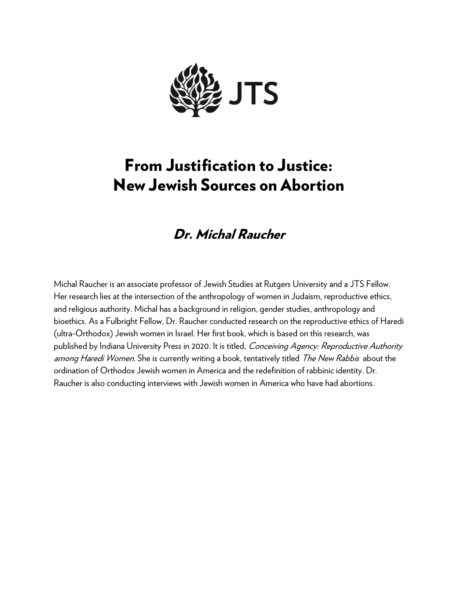

# From Justification to Justice: New Jewish Sources on Abortion

## Dr. Michal Raucher

Michal Raucher is an associate professor of Jewish Studies at Rutgers University and a JTS Fellow. Her research lies at the intersection of the anthropology of women in Judaism, reproductive ethics, and religious authority. Michal has a background in religion, gender studies, anthropology and bioethics. As a Fulbright Fellow, Dr. Raucher conducted research on the reproductive ethics of Haredi (ultra-Orthodox) Jewish women in Israel. Her first book, which is based on this research, was published by Indiana University Press in 2020. It is titled, Conceiving Agency: Reproductive Authority among Haredi Women. She is currently writing a book, tentatively titled The New Rabbis about the ordination of Orthodox Jewish women in America and the redefinition of rabbinic identity. Dr. Raucher is also conducting interviews with Jewish women in America who have had abortions.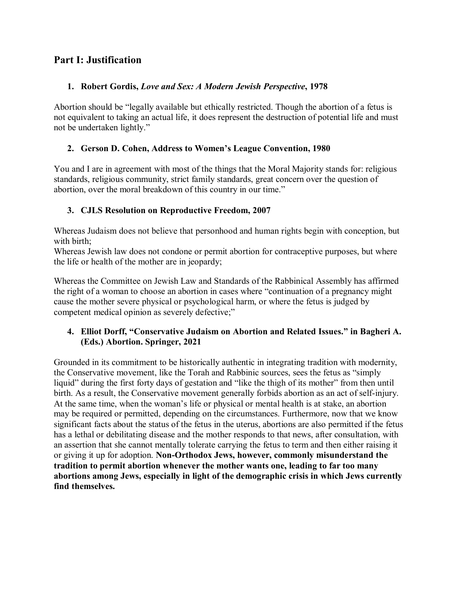## **Part I: Justification**

## **1. Robert Gordis,** *Love and Sex: A Modern Jewish Perspective***, 1978**

Abortion should be "legally available but ethically restricted. Though the abortion of a fetus is not equivalent to taking an actual life, it does represent the destruction of potential life and must not be undertaken lightly."

## **2. Gerson D. Cohen, Address to Women's League Convention, 1980**

You and I are in agreement with most of the things that the Moral Majority stands for: religious standards, religious community, strict family standards, great concern over the question of abortion, over the moral breakdown of this country in our time."

## **3. CJLS Resolution on Reproductive Freedom, 2007**

Whereas Judaism does not believe that personhood and human rights begin with conception, but with birth:

Whereas Jewish law does not condone or permit abortion for contraceptive purposes, but where the life or health of the mother are in jeopardy;

Whereas the Committee on Jewish Law and Standards of the Rabbinical Assembly has affirmed the right of a woman to choose an abortion in cases where "continuation of a pregnancy might cause the mother severe physical or psychological harm, or where the fetus is judged by competent medical opinion as severely defective;"

## **4. Elliot Dorff, "Conservative Judaism on Abortion and Related Issues." in Bagheri A. (Eds.) Abortion. Springer, 2021**

Grounded in its commitment to be historically authentic in integrating tradition with modernity, the Conservative movement, like the Torah and Rabbinic sources, sees the fetus as "simply liquid" during the first forty days of gestation and "like the thigh of its mother" from then until birth. As a result, the Conservative movement generally forbids abortion as an act of self-injury. At the same time, when the woman's life or physical or mental health is at stake, an abortion may be required or permitted, depending on the circumstances. Furthermore, now that we know significant facts about the status of the fetus in the uterus, abortions are also permitted if the fetus has a lethal or debilitating disease and the mother responds to that news, after consultation, with an assertion that she cannot mentally tolerate carrying the fetus to term and then either raising it or giving it up for adoption. **Non-Orthodox Jews, however, commonly misunderstand the tradition to permit abortion whenever the mother wants one, leading to far too many abortions among Jews, especially in light of the demographic crisis in which Jews currently find themselves.**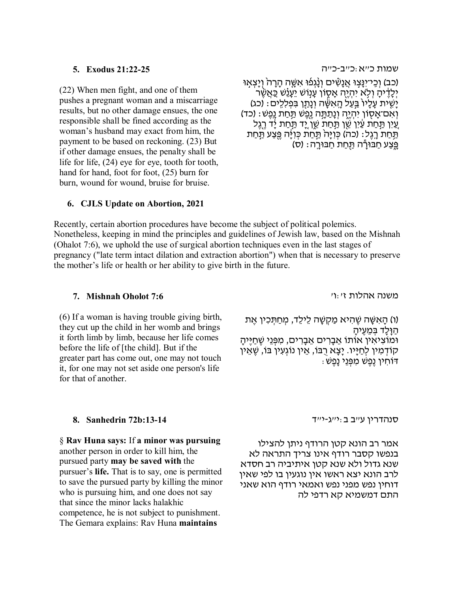#### **5. [Exodus 21:22-25](https://www.sefaria.org/Exodus.21.22-25)**

(22) When men fight, and one of them pushes a pregnant woman and a miscarriage results, but no other damage ensues, the one responsible shall be fined according as the woman's husband may exact from him, the payment to be based on reckoning. (23) But if other damage ensues, the penalty shall be life for life, (24) eye for eye, tooth for tooth, hand for hand, foot for foot, (25) burn for burn, wound for wound, bruise for bruise.

#### [שמות](https://www.sefaria.org/Exodus.21.22-25) [כ״א](https://www.sefaria.org/Exodus.21.22-25)[:](https://www.sefaria.org/Exodus.21.22-25)[כ״ב](https://www.sefaria.org/Exodus.21.22-25)[-](https://www.sefaria.org/Exodus.21.22-25)[כ״ה](https://www.sefaria.org/Exodus.21.22-25)

ּוֹכִב) וְכֵי־יִנְצְוּ אֲנָשִׁים וְנָנְפֿוּ אִשֶּׁה הָרָה וְיָצְאָוּ<br>יְלֵדֶיהַ וִלְא יִהְיֶה אֲסָוֹן עֲנִוּשׁ יֵעֲנֵ֫שׁ כֵּאֲשֶׁר ַ יְשֵׁית עַלָיוֹ בַּעֲל הָאִשֶּׁה וְנַתַן בִּפְלָלֶים: (כג) ּ וְאִם־אַסְוֹן יִהְיֶה וְנַתֲתֵּה נֶפֱשׁ תַּחַת נֵפֶשׁ : (כד) צֵיִן תַּחַת עֵּין שֵׁן תַּחַת שֵׁן יָד תַּחַת יָד רֶגֶל<br>תַּחַת רָגֶל: (כה) כְּוָיָּה תַּחַת כְּוִיָּה פֵּצַע תַּחַת<br>פֵּצַע חַבּוּדַיה תַּחַת חַבּוּרֵה: (ס)

#### **6. CJLS Update on Abortion, 2021**

Recently, certain abortion procedures have become the subject of political polemics. Nonetheless, keeping in mind the principles and guidelines of Jewish law, based on the Mishnah (Ohalot 7:6), we uphold the use of surgical abortion techniques even in the last stages of pregnancy ("late term intact dilation and extraction abortion") when that is necessary to preserve the mother's life or health or her ability to give birth in the future.

#### **7. [Mishnah Oholot 7:6](https://www.sefaria.org/Mishnah_Oholot.7.6)**

(6) If a woman is having trouble giving birth, they cut up the child in her womb and brings it forth limb by limb, because her life comes before the life of [the child]. But if the greater part has come out, one may not touch it, for one may not set aside one person's life for that of another.

[משנה](https://www.sefaria.org/Mishnah_Oholot.7.6) [אהלות](https://www.sefaria.org/Mishnah_Oholot.7.6) [ז׳:ו׳](https://www.sefaria.org/Mishnah_Oholot.7.6)

(ו) הָאִשָּׁה שֵׁהִיא מַקְשָּׁה לֵילֵד, מִחַתְּכִין אֵת הַ וָּלָד בְּ מֵ עֶ יהָ וּמוֹצִ יאִ ין אוֹתוֹ אֵ בָ רִ ים אֵ בָ רִ ים, מִ פְּ נֵי שֶׁ חַ יֶּיהָ קוֹדְמִין לְחַיָּיו. יָצָא רֻבּוֹ, אֵין נוֹגְעִין בּוֹ, שֵׁאֵין דּוֹחִ ין נֶפֶשׁ מִ פְּ נֵי נָפֶשׁ:

#### **8. [Sanhedrin 72b:13-14](https://www.sefaria.org/Sanhedrin.72b.13-14)**

§ **Rav Huna says:** If **a minor was pursuing** another person in order to kill him, the pursued party **may be saved with** the pursuer's **life.** That is to say, one is permitted to save the pursued party by killing the minor who is pursuing him, and one does not say that since the minor lacks halakhic competence, he is not subject to punishment. The Gemara explains: Rav Huna **maintains**

סנהדרין ע״ב ב:י״ג-י״ד

אמר רב הונא קטן הרודף ניתן להצילו בנפשו קסבר רודף אינו צריך התראה לא שנא גדול ולא שנא קטן איתיביה רב חסדא לרב הונא יצא ראשו אין נוגעין בו לפי שאין דוחין נפש מפני נפש ואמאי רודף הוא שאני התם דמשמיא קא רדפי לה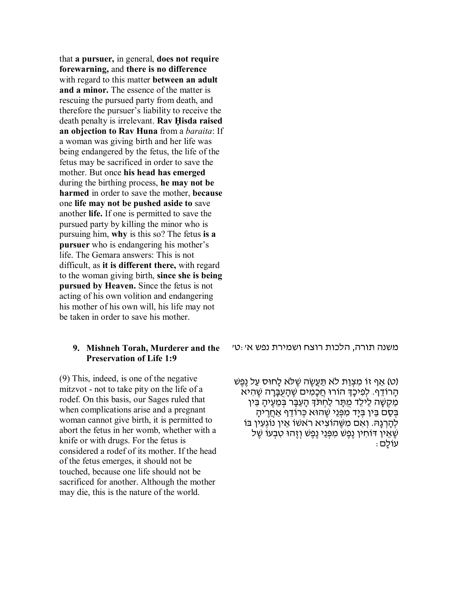that **a pursuer,** in general, **does not require forewarning,** and **there is no difference** with regard to this matter **between an adult and a minor.** The essence of the matter is rescuing the pursued party from death, and therefore the pursuer's liability to receive the death penalty is irrelevant. **Rav Ḥisda raised an objection to Rav Huna** from a *baraita*: If a woman was giving birth and her life was being endangered by the fetus, the life of the fetus may be sacrificed in order to save the mother. But once **his head has emerged** during the birthing process, **he may not be harmed** in order to save the mother, **because** one **life may not be pushed aside to** save another **life.** If one is permitted to save the pursued party by killing the minor who is pursuing him, **why** is this so? The fetus **is a pursuer** who is endangering his mother's life. The Gemara answers: This is not difficult, as **it is different there,** with regard to the woman giving birth, **since she is being pursued by Heaven.** Since the fetus is not acting of his own volition and endangering his mother of his own will, his life may not be taken in order to save his mother.

#### **9. Mishneh [Torah, Murderer and the](https://www.sefaria.org/Mishneh_Torah,_Murderer_and_the_Preservation_of_Life.1.9)  [Preservation of Life 1:9](https://www.sefaria.org/Mishneh_Torah,_Murderer_and_the_Preservation_of_Life.1.9)**

(9) This, indeed, is one of the negative mitzvot - not to take pity on the life of a rodef. On this basis, our Sages ruled that when complications arise and a pregnant woman cannot give birth, it is permitted to abort the fetus in her womb, whether with a knife or with drugs. For the fetus is considered a rodef of its mother. If the head of the fetus emerges, it should not be touched, because one life should not be sacrificed for another. Although the mother may die, this is the nature of the world.

[משנה](https://www.sefaria.org/Mishneh_Torah,_Murderer_and_the_Preservation_of_Life.1.9) [תורה, הלכות](https://www.sefaria.org/Mishneh_Torah,_Murderer_and_the_Preservation_of_Life.1.9) [רוצח](https://www.sefaria.org/Mishneh_Torah,_Murderer_and_the_Preservation_of_Life.1.9) [ושמירת](https://www.sefaria.org/Mishneh_Torah,_Murderer_and_the_Preservation_of_Life.1.9) [נפש](https://www.sefaria.org/Mishneh_Torah,_Murderer_and_the_Preservation_of_Life.1.9) [א׳:ט׳](https://www.sefaria.org/Mishneh_Torah,_Murderer_and_the_Preservation_of_Life.1.9)

(ט) אַף זוֹ מִצְוַת לֹא תַּעֲשֶׂה שֶׁלֹא לָחוּס עַל נֵפֶשׁ ְהָרוֹדֵף. לְפִיכַּךְ הוֹרוּ חֲכָמִים שֶׁהַעְבָּרָה שֶׁהִיא ְמַקְשָׁה לֵילֵד מֻתָּר לַחְתֹּךְ הָעֵבָּר בִּמֶעֵיהָ בֵּין בְּסָם בֵּין בְּיַד מִפְּנֵי שֶׁהוּא כְּרוֹדֵף אַחֲרִיהַ לְהַרְגַהּ. וְאִם מְשֶׁהוֹצִיא רֹאשׁוֹ אֵין נוֹגְעִין בּוֹ שֶׁאֵין דּוֹחִין נֶפֶשׁ מִפְּנֵי נֵפֶשׁ וְזֶהוּ טִבְעוֹ שֶׁל עוֹלָם: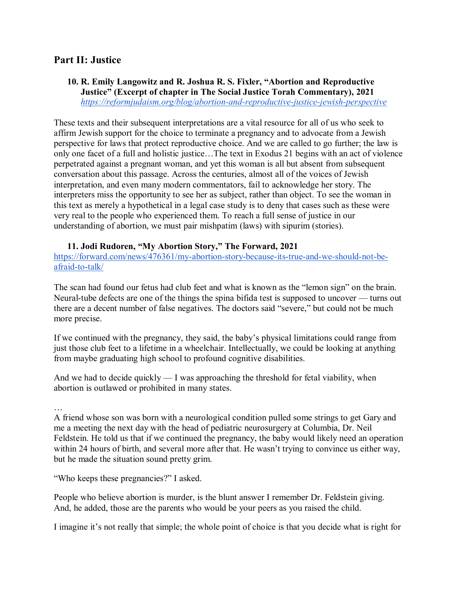## **Part II: Justice**

#### **10. R. Emily Langowitz and R. Joshua R. S. Fixler, "Abortion and Reproductive Justice" (Excerpt of chapter in The Social Justice Torah Commentary), 2021** *<https://reformjudaism.org/blog/abortion-and-reproductive-justice-jewish-perspective>*

These texts and their subsequent interpretations are a vital resource for all of us who seek to affirm Jewish support for the choice to terminate a pregnancy and to advocate from a Jewish perspective for laws that protect reproductive choice. And we are called to go further; the law is only one facet of a full and holistic justice…The text in Exodus 21 begins with an act of violence perpetrated against a pregnant woman, and yet this woman is all but absent from subsequent conversation about this passage. Across the centuries, almost all of the voices of Jewish interpretation, and even many modern commentators, fail to acknowledge her story. The interpreters miss the opportunity to see her as subject, rather than object. To see the woman in this text as merely a hypothetical in a legal case study is to deny that cases such as these were very real to the people who experienced them. To reach a full sense of justice in our understanding of abortion, we must pair mishpatim (laws) with sipurim (stories).

#### **11. Jodi Rudoren, "My Abortion Story," The Forward, 2021**

[https://forward.com/news/476361/my-abortion-story-because-its-true-and-we-should-not-be](https://forward.com/news/476361/my-abortion-story-because-its-true-and-we-should-not-be-afraid-to-talk/)[afraid-to-talk/](https://forward.com/news/476361/my-abortion-story-because-its-true-and-we-should-not-be-afraid-to-talk/)

The scan had found our fetus had club feet and what is known as the "lemon sign" on the brain. Neural-tube defects are one of the things the spina bifida test is supposed to uncover — turns out there are a decent number of false negatives. The doctors said "severe," but could not be much more precise.

If we continued with the pregnancy, they said, the baby's physical limitations could range from just those club feet to a lifetime in a wheelchair. Intellectually, we could be looking at anything from maybe graduating high school to profound cognitive disabilities.

And we had to decide quickly — I was approaching the threshold for fetal viability, when abortion is outlawed or prohibited in many states.

…

A friend whose son was born with a neurological condition pulled some strings to get Gary and me a meeting the next day with the head of pediatric neurosurgery at Columbia, Dr. Neil Feldstein. He told us that if we continued the pregnancy, the baby would likely need an operation within 24 hours of birth, and several more after that. He wasn't trying to convince us either way, but he made the situation sound pretty grim.

"Who keeps these pregnancies?" I asked.

People who believe abortion is murder, is the blunt answer I remember Dr. Feldstein giving. And, he added, those are the parents who would be your peers as you raised the child.

I imagine it's not really that simple; the whole point of choice is that you decide what is right for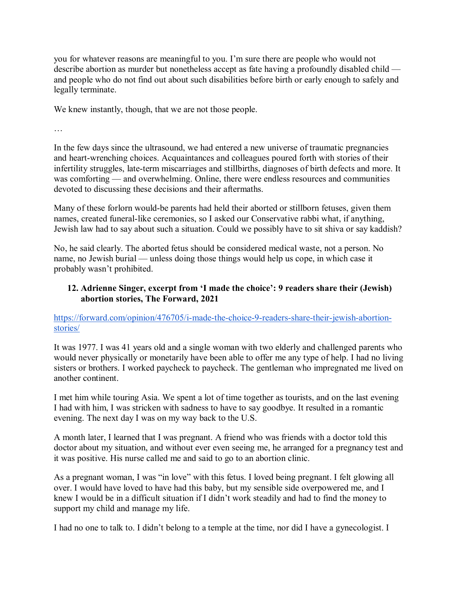you for whatever reasons are meaningful to you. I'm sure there are people who would not describe abortion as murder but nonetheless accept as fate having a profoundly disabled child and people who do not find out about such disabilities before birth or early enough to safely and legally terminate.

We knew instantly, though, that we are not those people.

…

In the few days since the ultrasound, we had entered a new universe of traumatic pregnancies and heart-wrenching choices. Acquaintances and colleagues poured forth with stories of their infertility struggles, late-term miscarriages and stillbirths, diagnoses of birth defects and more. It was comforting — and overwhelming. Online, there were endless resources and communities devoted to discussing these decisions and their aftermaths.

Many of these forlorn would-be parents had held their aborted or stillborn fetuses, given them names, created funeral-like ceremonies, so I asked our Conservative rabbi what, if anything, Jewish law had to say about such a situation. Could we possibly have to sit shiva or say kaddish?

No, he said clearly. The aborted fetus should be considered medical waste, not a person. No name, no Jewish burial — unless doing those things would help us cope, in which case it probably wasn't prohibited.

#### **12. Adrienne Singer, excerpt from 'I made the choice': 9 readers share their (Jewish) abortion stories, The Forward, 2021**

[https://forward.com/opinion/476705/i-made-the-choice-9-readers-share-their-jewish-abortion](https://forward.com/opinion/476705/i-made-the-choice-9-readers-share-their-jewish-abortion-stories/)[stories/](https://forward.com/opinion/476705/i-made-the-choice-9-readers-share-their-jewish-abortion-stories/)

It was 1977. I was 41 years old and a single woman with two elderly and challenged parents who would never physically or monetarily have been able to offer me any type of help. I had no living sisters or brothers. I worked paycheck to paycheck. The gentleman who impregnated me lived on another continent.

I met him while touring Asia. We spent a lot of time together as tourists, and on the last evening I had with him, I was stricken with sadness to have to say goodbye. It resulted in a romantic evening. The next day I was on my way back to the U.S.

A month later, I learned that I was pregnant. A friend who was friends with a doctor told this doctor about my situation, and without ever even seeing me, he arranged for a pregnancy test and it was positive. His nurse called me and said to go to an abortion clinic.

As a pregnant woman, I was "in love" with this fetus. I loved being pregnant. I felt glowing all over. I would have loved to have had this baby, but my sensible side overpowered me, and I knew I would be in a difficult situation if I didn't work steadily and had to find the money to support my child and manage my life.

I had no one to talk to. I didn't belong to a temple at the time, nor did I have a gynecologist. I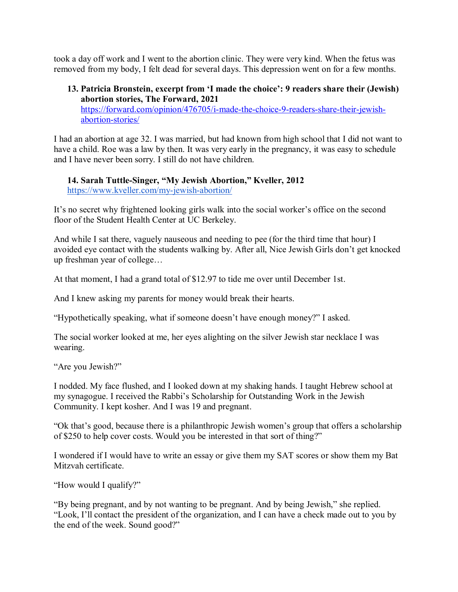took a day off work and I went to the abortion clinic. They were very kind. When the fetus was removed from my body, I felt dead for several days. This depression went on for a few months.

#### **13. Patricia Bronstein, excerpt from 'I made the choice': 9 readers share their (Jewish) abortion stories, The Forward, 2021**

[https://forward.com/opinion/476705/i-made-the-choice-9-readers-share-their-jewish](https://forward.com/opinion/476705/i-made-the-choice-9-readers-share-their-jewish-abortion-stories/)[abortion-stories/](https://forward.com/opinion/476705/i-made-the-choice-9-readers-share-their-jewish-abortion-stories/)

I had an abortion at age 32. I was married, but had known from high school that I did not want to have a child. Roe was a law by then. It was very early in the pregnancy, it was easy to schedule and I have never been sorry. I still do not have children.

**14. Sarah Tuttle-Singer, "My Jewish Abortion," Kveller, 2012**  <https://www.kveller.com/my-jewish-abortion/>

It's no secret why frightened looking girls walk into the social worker's office on the second floor of the Student Health Center at [U](https://www.kveller.com/baby_and_toddler/Circumcision_/circumcision-decision.shtml)C Berkeley.

And while I sat there, vaguely nauseous and needing to pee (for the third time that hour) I avoided eye contact with the students walking by. After all, [Nice Jewish Girls](https://www.kveller.com/parent/down-and-dirty/when-the-rabbi-finds-your-vibrator.shtml) don't get knocked up freshman year of college…

At that moment, I had a grand total of \$12.97 to tide me over until December 1st.

And I knew asking my parents for money would break their hearts.

"Hypothetically speaking, what if someone doesn't have enough money?" I asked.

The social worker looked at me, her eyes alighting on the silve[r](https://www.kveller.com/blog/parenting/actually-i-am-jewish-even-if-you-dont-agree/) [Jewish star necklace](https://www.kveller.com/blog/parenting/actually-i-am-jewish-even-if-you-dont-agree/) I was wearing.

"Are you Jewish?"

I nodded. My face flushed, and I looked down at my shaking hands. I taught [Hebrew school](https://www.kveller.com/traditions/Jewish-Living/choosing-hebrew-school.shtml) at my synagogue. I received the Rabbi's Scholarship for Outstanding Work in the Jewish Community. I kep[t](https://www.kveller.com/traditions/jews-and-food/keeping-kosher.shtml) [kosher.](https://www.kveller.com/traditions/jews-and-food/keeping-kosher.shtml) And I was 19 and pregnant.

"Ok that's good, because there is a philanthropic Jewish women's group that offers a scholarship of \$250 to help cover costs. Would you be interested in that sort of thing?"

I wondered if I would have to write an essay or give them my SAT scores or show them my Bat Mitzvah certificate.

"How would I qualify?"

"By being pregnant, and by not wanting to be pregnant. And by being Jewish," she replied. "Look, I'll contact the president of the organization, and I can have a check made out to you by the end of the week. Sound good?"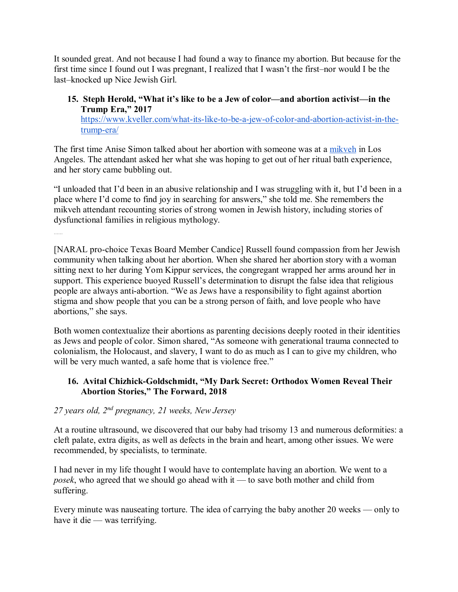It sounded great. And not because I had found a way to finance my abortion. But because for the first time since I found out I was pregnant, I realized that I wasn't the first–nor would I be the last–knocked up Nice Jewish Girl.

#### **15. Steph Herold, "What it's like to be a Jew of color—and abortion activist—in the Trump Era," 201[7](https://www.kveller.com/what-its-like-to-be-a-jew-of-color-and-abortion-activist-in-the-trump-era/)**

[https://www.kveller.com/what-its-like-to-be-a-jew-of-color-and-abortion-activist-in-the](https://www.kveller.com/what-its-like-to-be-a-jew-of-color-and-abortion-activist-in-the-trump-era/)[trump-era/](https://www.kveller.com/what-its-like-to-be-a-jew-of-color-and-abortion-activist-in-the-trump-era/)

The first time Anise Simon talked about her abortion with someone was at [a](http://www.myjewishlearning.com/article/the-mikveh/) [mikveh](http://www.myjewishlearning.com/article/the-mikveh/) in Los Angeles. The attendant asked her what she was hoping to get out of her ritual bath experience, and her story came bubbling out.

"I unloaded that I'd been in an abusive relationship and I was struggling with it, but I'd been in a place where I'd come to find joy in searching for answers," she told me. She remembers the mikveh attendant recounting stories of strong women in Jewish history, including stories of dysfunctional families in religious mythology.

[NARAL pro-choice Texas Board Member Candice] Russell found compassion from her Jewish community when talking about her abortion. When she shared her abortion story with a woman sitting next to her during Yom Kippur services, the congregant wrapped her arms around her in support. This experience buoyed Russell's determination to disrupt the false idea that religious people are always anti-abortion. "We as Jews have a responsibility to fight against abortion stigma and show people that you can be a strong person of faith, and love people who have abortions," she says.

Both women contextualize their abortions as parenting decisions deeply rooted in their identities as Jews and people of color. Simon shared, "As someone with generational trauma connected to colonialism, the Holocaust, and slavery, I want to do as much as I can to give my children, who will be very much wanted, a safe home that is violence free."

## **16. Avital Chizhick-Goldschmidt, "My Dark Secret: Orthodox Women Reveal Their Abortion Stories," The Forward, 2018**

## *27 years old, 2nd pregnancy, 21 weeks, New Jersey*

……

At a routine ultrasound, we discovered that our baby had trisomy 13 and numerous deformities: a cleft palate, extra digits, as well as defects in the brain and heart, among other issues. We were recommended, by specialists, to terminate.

I had never in my life thought I would have to contemplate having an abortion. We went to a *posek*, who agreed that we should go ahead with it — to save both mother and child from suffering.

Every minute was nauseating torture. The idea of carrying the baby another 20 weeks — only to have it die — was terrifying.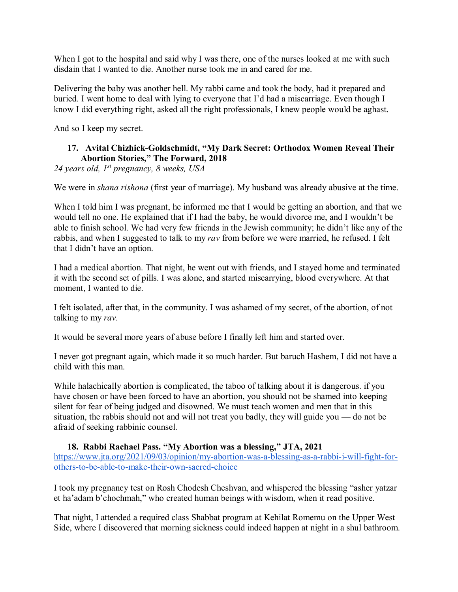When I got to the hospital and said why I was there, one of the nurses looked at me with such disdain that I wanted to die. Another nurse took me in and cared for me.

Delivering the baby was another hell. My rabbi came and took the body, had it prepared and buried. I went home to deal with lying to everyone that I'd had a miscarriage. Even though I know I did everything right, asked all the right professionals, I knew people would be aghast.

And so I keep my secret.

## **17. Avital Chizhick-Goldschmidt, "My Dark Secret: Orthodox Women Reveal Their Abortion Stories," The Forward, 2018**

*24 years old, 1st pregnancy, 8 weeks, USA*

We were in *shana rishona* (first year of marriage). My husband was already abusive at the time.

When I told him I was pregnant, he informed me that I would be getting an abortion, and that we would tell no one. He explained that if I had the baby, he would divorce me, and I wouldn't be able to finish school. We had very few friends in the Jewish community; he didn't like any of the rabbis, and when I suggested to talk to my *rav* from before we were married, he refused. I felt that I didn't have an option.

I had a medical abortion. That night, he went out with friends, and I stayed home and terminated it with the second set of pills. I was alone, and started miscarrying, blood everywhere. At that moment, I wanted to die.

I felt isolated, after that, in the community. I was ashamed of my secret, of the abortion, of not talking to my *rav*.

It would be several more years of abuse before I finally left him and started over.

I never got pregnant again, which made it so much harder. But baruch Hashem, I did not have a child with this man.

While halachically abortion is complicated, the taboo of talking about it is dangerous. if you have chosen or have been forced to have an abortion, you should not be shamed into keeping silent for fear of being judged and disowned. We must teach women and men that in this situation, the rabbis should not and will not treat you badly, they will guide you — do not be afraid of seeking rabbinic counsel.

#### **18. Rabbi Rachael Pass. "My Abortion was a blessing," JTA, 2021**

[https://www.jta.org/2021/09/03/opinion/my-abortion-was-a-blessing-as-a-rabbi-i-will-fight-for](https://www.jta.org/2021/09/03/opinion/my-abortion-was-a-blessing-as-a-rabbi-i-will-fight-for-others-to-be-able-to-make-their-own-sacred-choice)[others-to-be-able-to-make-their-own-sacred-choice](https://www.jta.org/2021/09/03/opinion/my-abortion-was-a-blessing-as-a-rabbi-i-will-fight-for-others-to-be-able-to-make-their-own-sacred-choice)

I took my pregnancy test on Rosh Chodesh Cheshvan, and whispered the blessing "asher yatzar et ha'adam b'chochmah," who created human beings with wisdom, when it read positive.

That night, I attended a required class Shabbat program at Kehilat Romemu on the Upper West Side, where I discovered that morning sickness could indeed happen at night in a shul bathroom.